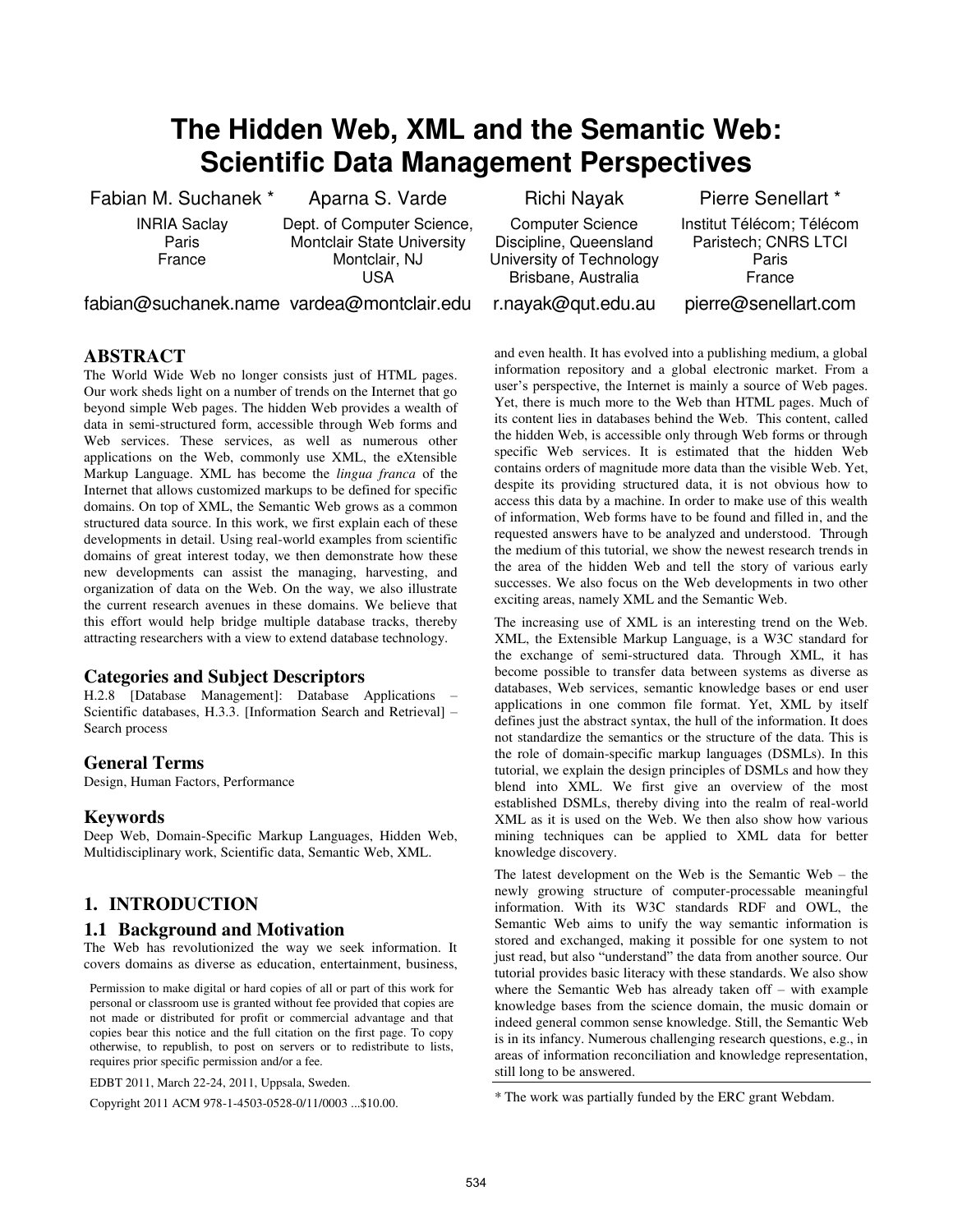# **The Hidden Web, XML and the Semantic Web: Scientific Data Management Perspectives**

Fabian M. Suchanek \*

INRIA Saclay Paris France

Aparna S. Varde Dept. of Computer Science, Montclair State University Montclair, NJ USA

fabian@suchanek.name vardea@montclair.edu

### **ABSTRACT**

The World Wide Web no longer consists just of HTML pages. Our work sheds light on a number of trends on the Internet that go beyond simple Web pages. The hidden Web provides a wealth of data in semi-structured form, accessible through Web forms and Web services. These services, as well as numerous other applications on the Web, commonly use XML, the eXtensible Markup Language. XML has become the *lingua franca* of the Internet that allows customized markups to be defined for specific domains. On top of XML, the Semantic Web grows as a common structured data source. In this work, we first explain each of these developments in detail. Using real-world examples from scientific domains of great interest today, we then demonstrate how these new developments can assist the managing, harvesting, and organization of data on the Web. On the way, we also illustrate the current research avenues in these domains. We believe that this effort would help bridge multiple database tracks, thereby attracting researchers with a view to extend database technology.

# **Categories and Subject Descriptors**

H.2.8 [Database Management]: Database Applications  $-$ Scientific databases, H.3.3. [Information Search and Retrieval] -Search process

#### **General Terms**

Design, Human Factors, Performance

#### **Keywords**

Deep Web, Domain-Specific Markup Languages, Hidden Web, Multidisciplinary work, Scientific data, Semantic Web, XML.

#### **1. INTRODUCTION**

#### **1.1 Background and Motivation**

The Web has revolutionized the way we seek information. It covers domains as diverse as education, entertainment, business,

Permission to make digital or hard copies of all or part of this work for personal or classroom use is granted without fee provided that copies are not made or distributed for profit or commercial advantage and that copies bear this notice and the full citation on the first page. To copy otherwise, to republish, to post on servers or to redistribute to lists, requires prior specific permission and/or a fee.

EDBT 2011, March 22-24, 2011, Uppsala, Sweden.

Copyright 2011 ACM 978-1-4503-0528-0/11/0003 ...\$10.00.

Richi Nayak

Computer Science Discipline, Queensland University of Technology Brisbane, Australia

Pierre Senellart \* Institut Télécom; Télécom Paristech; CNRS LTCI Paris France

r.nayak@qut.edu.au

pierre@xsenellart.com

and even health. It has evolved into a publishing medium, a global information repository and a global electronic market. From a user's perspective, the Internet is mainly a source of Web pages. Yet, there is much more to the Web than HTML pages. Much of its content lies in databases behind the Web. This content, called the hidden Web, is accessible only through Web forms or through specific Web services. It is estimated that the hidden Web contains orders of magnitude more data than the visible Web. Yet, despite its providing structured data, it is not obvious how to access this data by a machine. In order to make use of this wealth of information, Web forms have to be found and filled in, and the requested answers have to be analyzed and understood. Through the medium of this tutorial, we show the newest research trends in the area of the hidden Web and tell the story of various early successes. We also focus on the Web developments in two other exciting areas, namely XML and the Semantic Web.

The increasing use of XML is an interesting trend on the Web. XML, the Extensible Markup Language, is a W3C standard for the exchange of semi-structured data. Through XML, it has become possible to transfer data between systems as diverse as databases, Web services, semantic knowledge bases or end user applications in one common file format. Yet, XML by itself defines just the abstract syntax, the hull of the information. It does not standardize the semantics or the structure of the data. This is the role of domain-specific markup languages (DSMLs). In this tutorial, we explain the design principles of DSMLs and how they blend into XML. We first give an overview of the most established DSMLs, thereby diving into the realm of real-world XML as it is used on the Web. We then also show how various mining techniques can be applied to XML data for better knowledge discovery.

The latest development on the Web is the Semantic Web  $-$  the newly growing structure of computer-processable meaningful information. With its W3C standards RDF and OWL, the Semantic Web aims to unify the way semantic information is stored and exchanged, making it possible for one system to not just read, but also "understand" the data from another source. Our tutorial provides basic literacy with these standards. We also show where the Semantic Web has already taken off  $-$  with example knowledge bases from the science domain, the music domain or indeed general common sense knowledge. Still, the Semantic Web is in its infancy. Numerous challenging research questions, e.g., in areas of information reconciliation and knowledge representation, still long to be answered.

\* The work was partially funded by the ERC grant Webdam.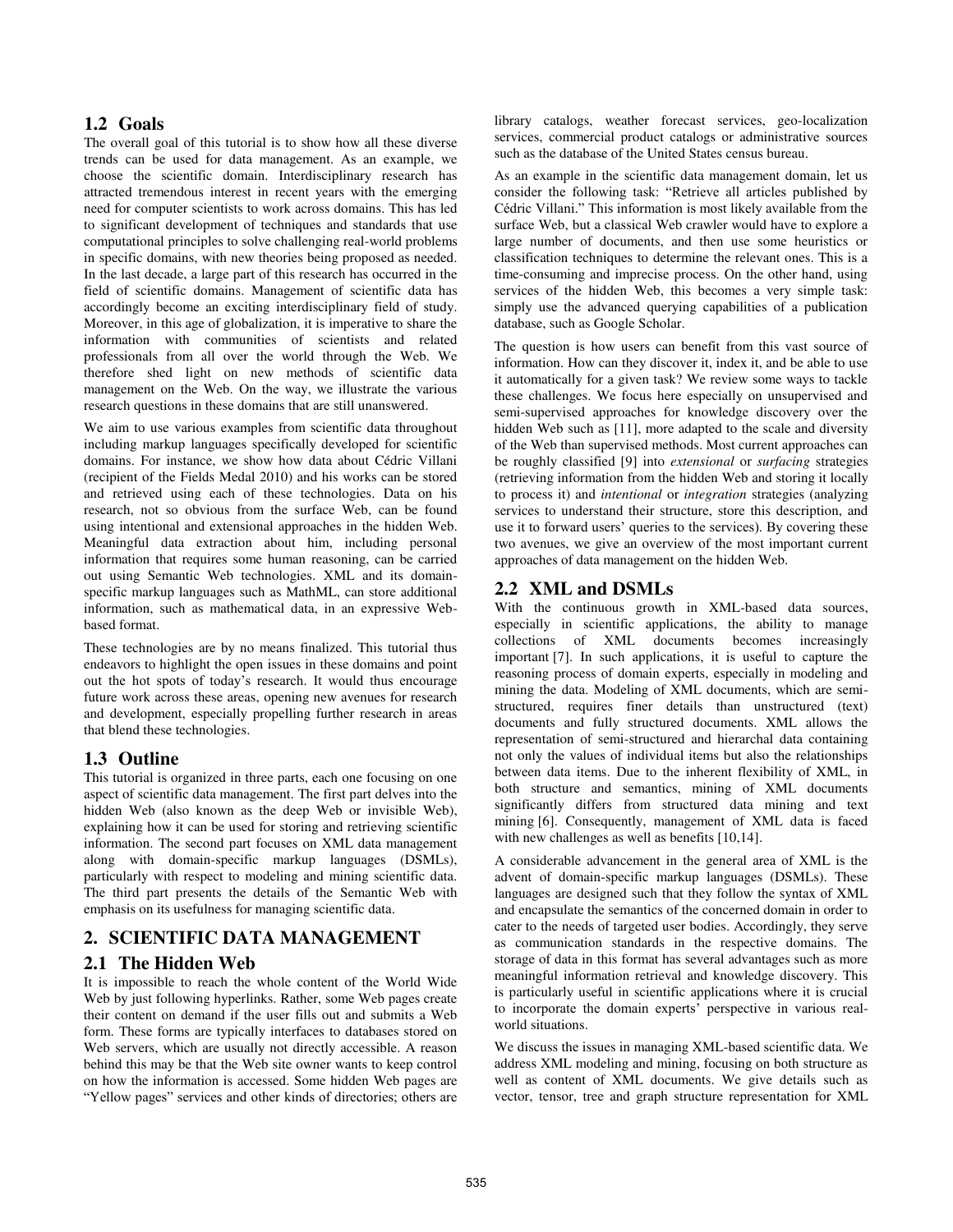# **1.2 Goals**

The overall goal of this tutorial is to show how all these diverse trends can be used for data management. As an example, we choose the scientific domain. Interdisciplinary research has attracted tremendous interest in recent years with the emerging need for computer scientists to work across domains. This has led to significant development of techniques and standards that use computational principles to solve challenging real-world problems in specific domains, with new theories being proposed as needed. In the last decade, a large part of this research has occurred in the field of scientific domains. Management of scientific data has accordingly become an exciting interdisciplinary field of study. Moreover, in this age of globalization, it is imperative to share the information with communities of scientists and related professionals from all over the world through the Web. We therefore shed light on new methods of scientific data management on the Web. On the way, we illustrate the various research questions in these domains that are still unanswered.

We aim to use various examples from scientific data throughout including markup languages specifically developed for scientific domains. For instance, we show how data about Cédric Villani (recipient of the Fields Medal 2010) and his works can be stored and retrieved using each of these technologies. Data on his research, not so obvious from the surface Web, can be found using intentional and extensional approaches in the hidden Web. Meaningful data extraction about him, including personal information that requires some human reasoning, can be carried out using Semantic Web technologies. XML and its domainspecific markup languages such as MathML, can store additional information, such as mathematical data, in an expressive Webbased format.

These technologies are by no means finalized. This tutorial thus endeavors to highlight the open issues in these domains and point out the hot spots of today's research. It would thus encourage future work across these areas, opening new avenues for research and development, especially propelling further research in areas that blend these technologies.

# **1.3 Outline**

This tutorial is organized in three parts, each one focusing on one aspect of scientific data management. The first part delves into the hidden Web (also known as the deep Web or invisible Web), explaining how it can be used for storing and retrieving scientific information. The second part focuses on XML data management along with domain-specific markup languages (DSMLs), particularly with respect to modeling and mining scientific data. The third part presents the details of the Semantic Web with emphasis on its usefulness for managing scientific data.

# **2. SCIENTIFIC DATA MANAGEMENT**

#### **2.1 The Hidden Web**

It is impossible to reach the whole content of the World Wide Web by just following hyperlinks. Rather, some Web pages create their content on demand if the user fills out and submits a Web form. These forms are typically interfaces to databases stored on Web servers, which are usually not directly accessible. A reason behind this may be that the Web site owner wants to keep control on how the information is accessed. Some hidden Web pages are "Yellow pages" services and other kinds of directories; others are library catalogs, weather forecast services, geo-localization services, commercial product catalogs or administrative sources such as the database of the United States census bureau.

As an example in the scientific data management domain, let us consider the following task: "Retrieve all articles published by Cédric Villani." This information is most likely available from the surface Web, but a classical Web crawler would have to explore a large number of documents, and then use some heuristics or classification techniques to determine the relevant ones. This is a time-consuming and imprecise process. On the other hand, using services of the hidden Web, this becomes a very simple task: simply use the advanced querying capabilities of a publication database, such as Google Scholar.

The question is how users can benefit from this vast source of information. How can they discover it, index it, and be able to use it automatically for a given task? We review some ways to tackle these challenges. We focus here especially on unsupervised and semi-supervised approaches for knowledge discovery over the hidden Web such as [11], more adapted to the scale and diversity of the Web than supervised methods. Most current approaches can be roughly classified [9] into *extensional* or *surfacing* strategies (retrieving information from the hidden Web and storing it locally to process it) and *intentional* or *integration* strategies (analyzing services to understand their structure, store this description, and use it to forward users' queries to the services). By covering these two avenues, we give an overview of the most important current approaches of data management on the hidden Web.

#### **2.2 XML and DSMLs**

With the continuous growth in XML-based data sources, especially in scientific applications, the ability to manage collections of XML documents becomes increasingly important [7]. In such applications, it is useful to capture the reasoning process of domain experts, especially in modeling and mining the data. Modeling of XML documents, which are semistructured, requires finer details than unstructured (text) documents and fully structured documents. XML allows the representation of semi-structured and hierarchal data containing not only the values of individual items but also the relationships between data items. Due to the inherent flexibility of XML, in both structure and semantics, mining of XML documents significantly differs from structured data mining and text mining [6]. Consequently, management of XML data is faced with new challenges as well as benefits [10,14].

A considerable advancement in the general area of XML is the advent of domain-specific markup languages (DSMLs). These languages are designed such that they follow the syntax of XML and encapsulate the semantics of the concerned domain in order to cater to the needs of targeted user bodies. Accordingly, they serve as communication standards in the respective domains. The storage of data in this format has several advantages such as more meaningful information retrieval and knowledge discovery. This is particularly useful in scientific applications where it is crucial to incorporate the domain experts' perspective in various realworld situations.

We discuss the issues in managing XML-based scientific data. We address XML modeling and mining, focusing on both structure as well as content of XML documents. We give details such as vector, tensor, tree and graph structure representation for XML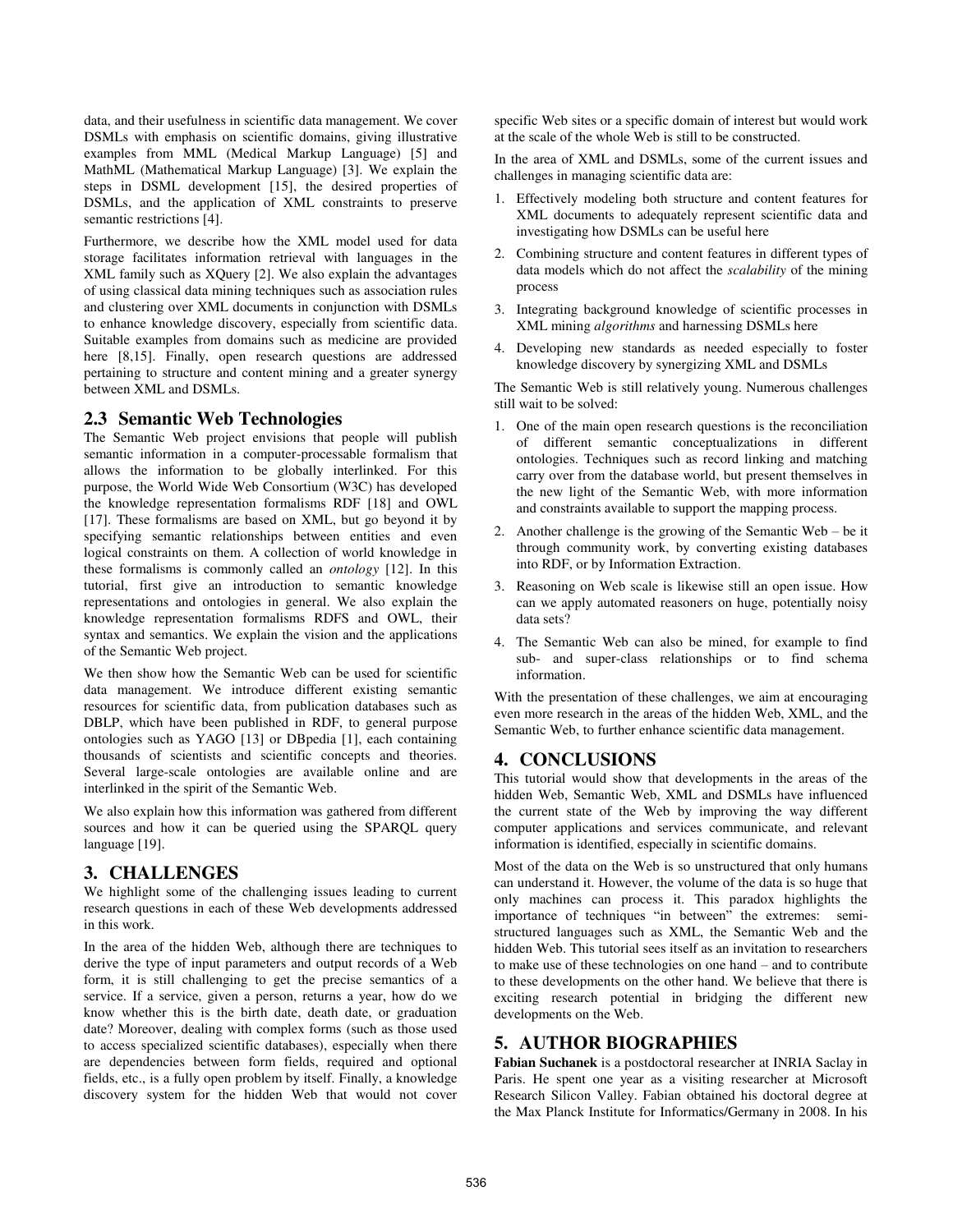data, and their usefulness in scientific data management. We cover DSMLs with emphasis on scientific domains, giving illustrative examples from MML (Medical Markup Language) [5] and MathML (Mathematical Markup Language) [3]. We explain the steps in DSML development [15], the desired properties of DSMLs, and the application of XML constraints to preserve semantic restrictions [4].

Furthermore, we describe how the XML model used for data storage facilitates information retrieval with languages in the XML family such as XQuery [2]. We also explain the advantages of using classical data mining techniques such as association rules and clustering over XML documents in conjunction with DSMLs to enhance knowledge discovery, especially from scientific data. Suitable examples from domains such as medicine are provided here [8,15]. Finally, open research questions are addressed pertaining to structure and content mining and a greater synergy between XML and DSMLs.

# **2.3 Semantic Web Technologies**

The Semantic Web project envisions that people will publish semantic information in a computer-processable formalism that allows the information to be globally interlinked. For this purpose, the World Wide Web Consortium (W3C) has developed the knowledge representation formalisms RDF [18] and OWL [17]. These formalisms are based on XML, but go beyond it by specifying semantic relationships between entities and even logical constraints on them. A collection of world knowledge in these formalisms is commonly called an *ontology* [12]. In this tutorial, first give an introduction to semantic knowledge representations and ontologies in general. We also explain the knowledge representation formalisms RDFS and OWL, their syntax and semantics. We explain the vision and the applications of the Semantic Web project.

We then show how the Semantic Web can be used for scientific data management. We introduce different existing semantic resources for scientific data, from publication databases such as DBLP, which have been published in RDF, to general purpose ontologies such as YAGO [13] or DBpedia [1], each containing thousands of scientists and scientific concepts and theories. Several large-scale ontologies are available online and are interlinked in the spirit of the Semantic Web.

We also explain how this information was gathered from different sources and how it can be queried using the SPARQL query language [19].

# **3. CHALLENGES**

We highlight some of the challenging issues leading to current research questions in each of these Web developments addressed in this work.

In the area of the hidden Web, although there are techniques to derive the type of input parameters and output records of a Web form, it is still challenging to get the precise semantics of a service. If a service, given a person, returns a year, how do we know whether this is the birth date, death date, or graduation date? Moreover, dealing with complex forms (such as those used to access specialized scientific databases), especially when there are dependencies between form fields, required and optional fields, etc., is a fully open problem by itself. Finally, a knowledge discovery system for the hidden Web that would not cover

specific Web sites or a specific domain of interest but would work at the scale of the whole Web is still to be constructed.

In the area of XML and DSMLs, some of the current issues and challenges in managing scientific data are:

- 1. Effectively modeling both structure and content features for XML documents to adequately represent scientific data and investigating how DSMLs can be useful here
- 2. Combining structure and content features in different types of data models which do not affect the *scalability* of the mining process
- 3. Integrating background knowledge of scientific processes in XML mining *algorithms* and harnessing DSMLs here
- 4. Developing new standards as needed especially to foster knowledge discovery by synergizing XML and DSMLs

The Semantic Web is still relatively young. Numerous challenges still wait to be solved:

- 1. One of the main open research questions is the reconciliation of different semantic conceptualizations in different ontologies. Techniques such as record linking and matching carry over from the database world, but present themselves in the new light of the Semantic Web, with more information and constraints available to support the mapping process.
- 2. Another challenge is the growing of the Semantic Web  $-$  be it through community work, by converting existing databases into RDF, or by Information Extraction.
- 3. Reasoning on Web scale is likewise still an open issue. How can we apply automated reasoners on huge, potentially noisy data sets?
- 4. The Semantic Web can also be mined, for example to find sub- and super-class relationships or to find schema information.

With the presentation of these challenges, we aim at encouraging even more research in the areas of the hidden Web, XML, and the Semantic Web, to further enhance scientific data management.

# **4. CONCLUSIONS**

This tutorial would show that developments in the areas of the hidden Web, Semantic Web, XML and DSMLs have influenced the current state of the Web by improving the way different computer applications and services communicate, and relevant information is identified, especially in scientific domains.

Most of the data on the Web is so unstructured that only humans can understand it. However, the volume of the data is so huge that only machines can process it. This paradox highlights the importance of techniques "in between" the extremes: semistructured languages such as XML, the Semantic Web and the hidden Web. This tutorial sees itself as an invitation to researchers to make use of these technologies on one hand  $-$  and to contribute to these developments on the other hand. We believe that there is exciting research potential in bridging the different new developments on the Web.

# **5. AUTHOR BIOGRAPHIES**

**Fabian Suchanek** is a postdoctoral researcher at INRIA Saclay in Paris. He spent one year as a visiting researcher at Microsoft Research Silicon Valley. Fabian obtained his doctoral degree at the Max Planck Institute for Informatics/Germany in 2008. In his